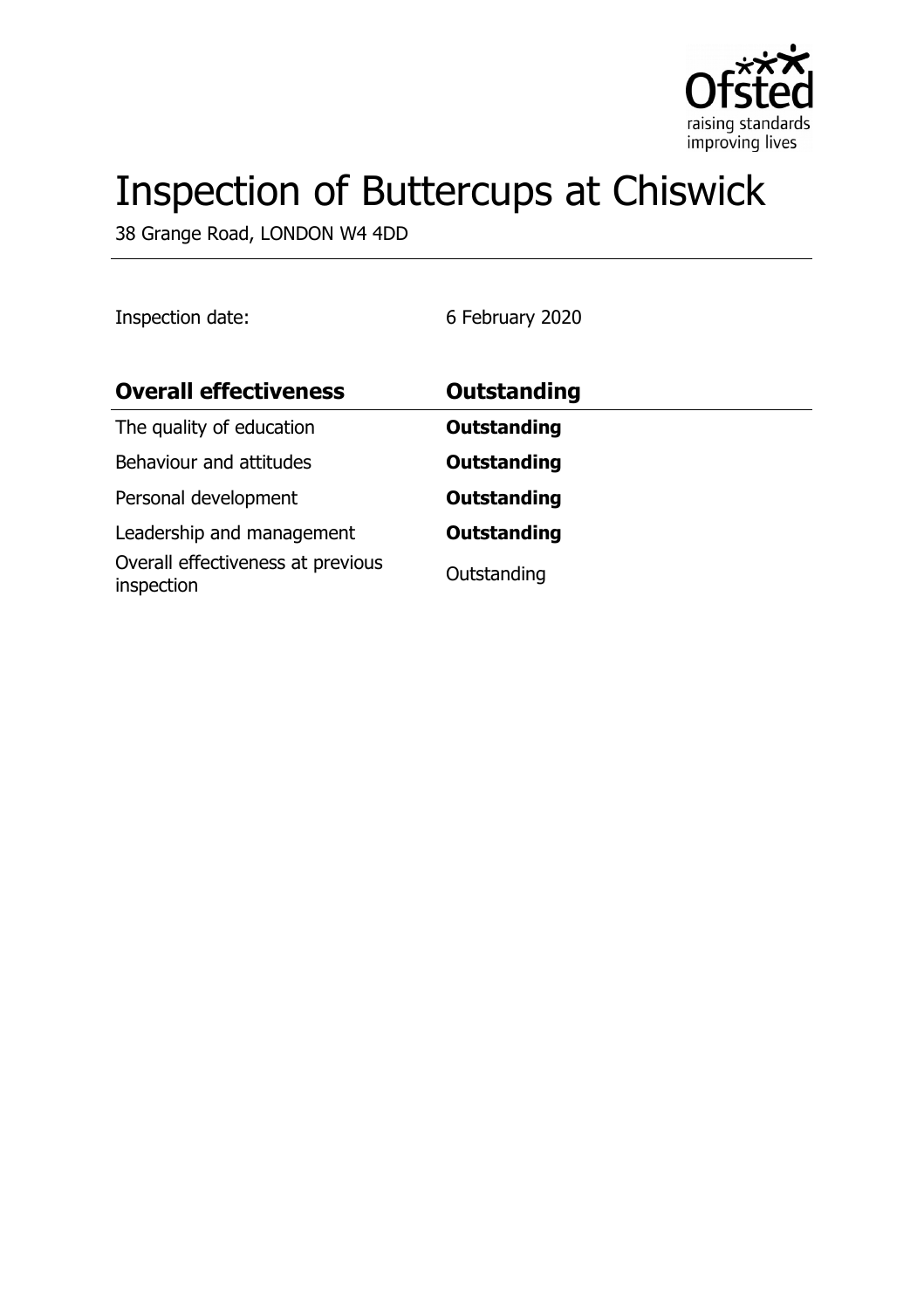

# Inspection of Buttercups at Chiswick

38 Grange Road, LONDON W4 4DD

Inspection date: 6 February 2020

| <b>Overall effectiveness</b>                    | <b>Outstanding</b> |
|-------------------------------------------------|--------------------|
| The quality of education                        | <b>Outstanding</b> |
| Behaviour and attitudes                         | <b>Outstanding</b> |
| Personal development                            | <b>Outstanding</b> |
| Leadership and management                       | <b>Outstanding</b> |
| Overall effectiveness at previous<br>inspection | Outstanding        |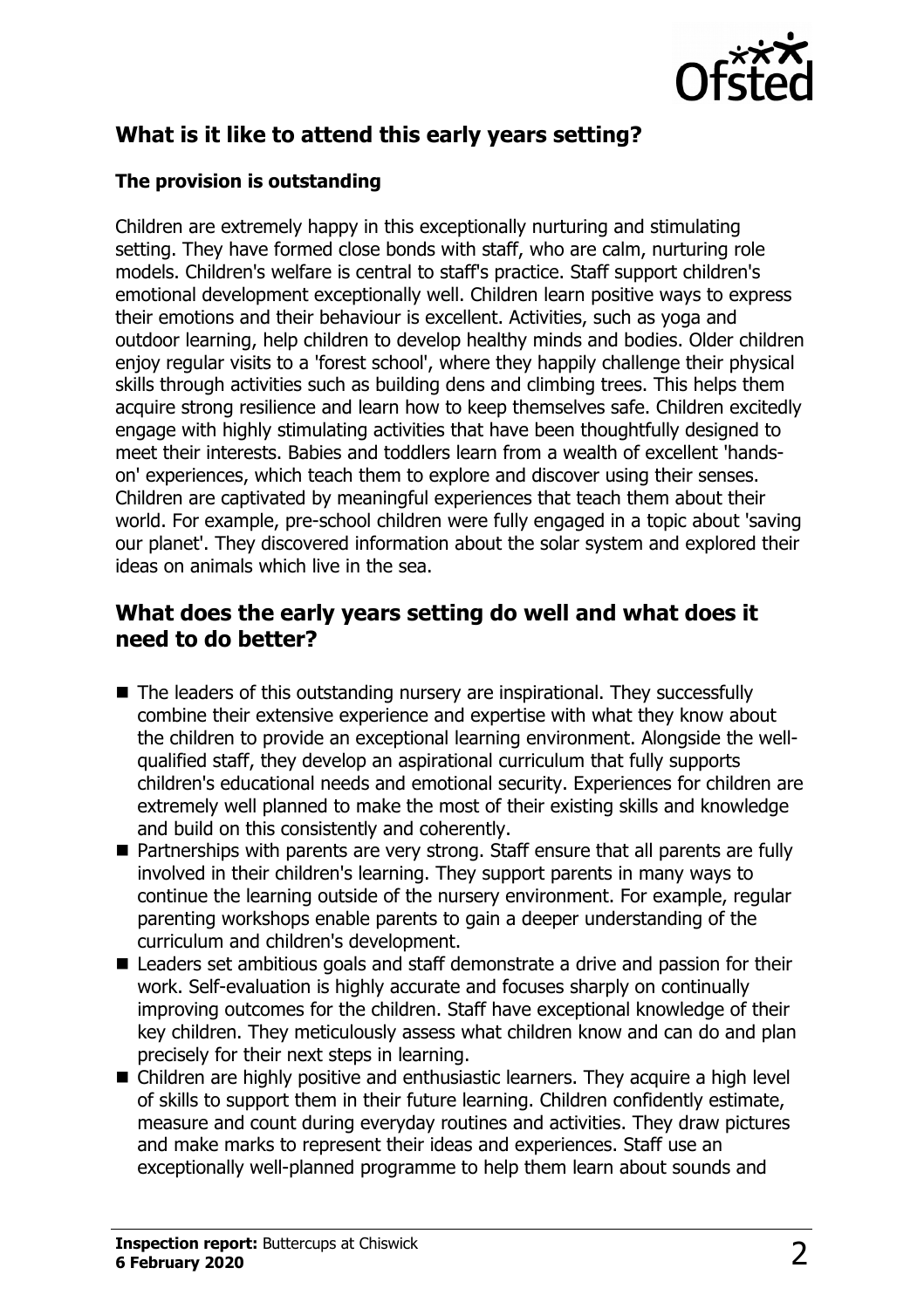

# **What is it like to attend this early years setting?**

#### **The provision is outstanding**

Children are extremely happy in this exceptionally nurturing and stimulating setting. They have formed close bonds with staff, who are calm, nurturing role models. Children's welfare is central to staff's practice. Staff support children's emotional development exceptionally well. Children learn positive ways to express their emotions and their behaviour is excellent. Activities, such as yoga and outdoor learning, help children to develop healthy minds and bodies. Older children enjoy regular visits to a 'forest school', where they happily challenge their physical skills through activities such as building dens and climbing trees. This helps them acquire strong resilience and learn how to keep themselves safe. Children excitedly engage with highly stimulating activities that have been thoughtfully designed to meet their interests. Babies and toddlers learn from a wealth of excellent 'handson' experiences, which teach them to explore and discover using their senses. Children are captivated by meaningful experiences that teach them about their world. For example, pre-school children were fully engaged in a topic about 'saving our planet'. They discovered information about the solar system and explored their ideas on animals which live in the sea.

#### **What does the early years setting do well and what does it need to do better?**

- $\blacksquare$  The leaders of this outstanding nursery are inspirational. They successfully combine their extensive experience and expertise with what they know about the children to provide an exceptional learning environment. Alongside the wellqualified staff, they develop an aspirational curriculum that fully supports children's educational needs and emotional security. Experiences for children are extremely well planned to make the most of their existing skills and knowledge and build on this consistently and coherently.
- Partnerships with parents are very strong. Staff ensure that all parents are fully involved in their children's learning. They support parents in many ways to continue the learning outside of the nursery environment. For example, regular parenting workshops enable parents to gain a deeper understanding of the curriculum and children's development.
- $\blacksquare$  Leaders set ambitious goals and staff demonstrate a drive and passion for their work. Self-evaluation is highly accurate and focuses sharply on continually improving outcomes for the children. Staff have exceptional knowledge of their key children. They meticulously assess what children know and can do and plan precisely for their next steps in learning.
- Children are highly positive and enthusiastic learners. They acquire a high level of skills to support them in their future learning. Children confidently estimate, measure and count during everyday routines and activities. They draw pictures and make marks to represent their ideas and experiences. Staff use an exceptionally well-planned programme to help them learn about sounds and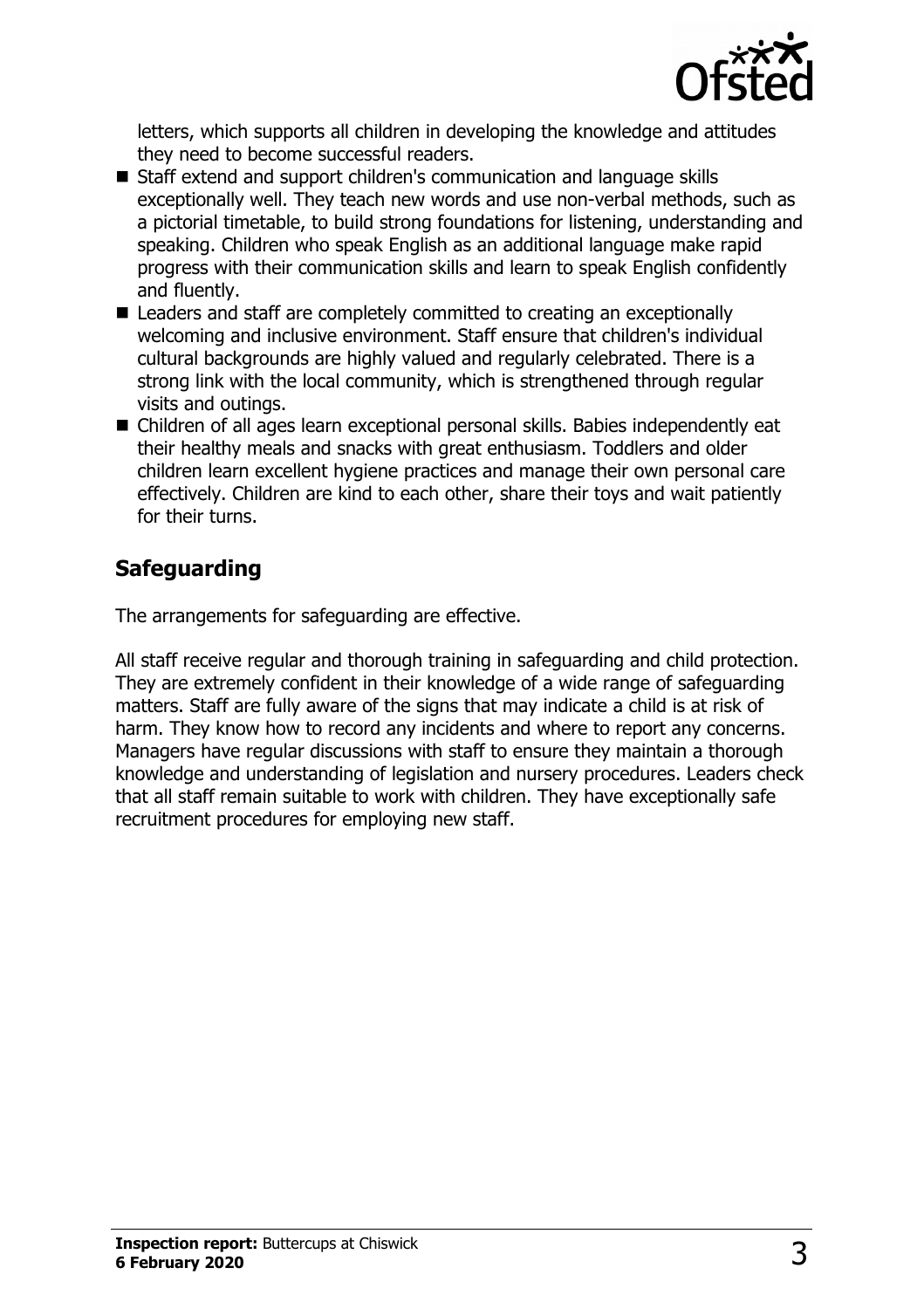

letters, which supports all children in developing the knowledge and attitudes they need to become successful readers.

- Staff extend and support children's communication and language skills exceptionally well. They teach new words and use non-verbal methods, such as a pictorial timetable, to build strong foundations for listening, understanding and speaking. Children who speak English as an additional language make rapid progress with their communication skills and learn to speak English confidently and fluently.
- Leaders and staff are completely committed to creating an exceptionally welcoming and inclusive environment. Staff ensure that children's individual cultural backgrounds are highly valued and regularly celebrated. There is a strong link with the local community, which is strengthened through regular visits and outings.
- Children of all ages learn exceptional personal skills. Babies independently eat their healthy meals and snacks with great enthusiasm. Toddlers and older children learn excellent hygiene practices and manage their own personal care effectively. Children are kind to each other, share their toys and wait patiently for their turns.

## **Safeguarding**

The arrangements for safeguarding are effective.

All staff receive regular and thorough training in safeguarding and child protection. They are extremely confident in their knowledge of a wide range of safeguarding matters. Staff are fully aware of the signs that may indicate a child is at risk of harm. They know how to record any incidents and where to report any concerns. Managers have regular discussions with staff to ensure they maintain a thorough knowledge and understanding of legislation and nursery procedures. Leaders check that all staff remain suitable to work with children. They have exceptionally safe recruitment procedures for employing new staff.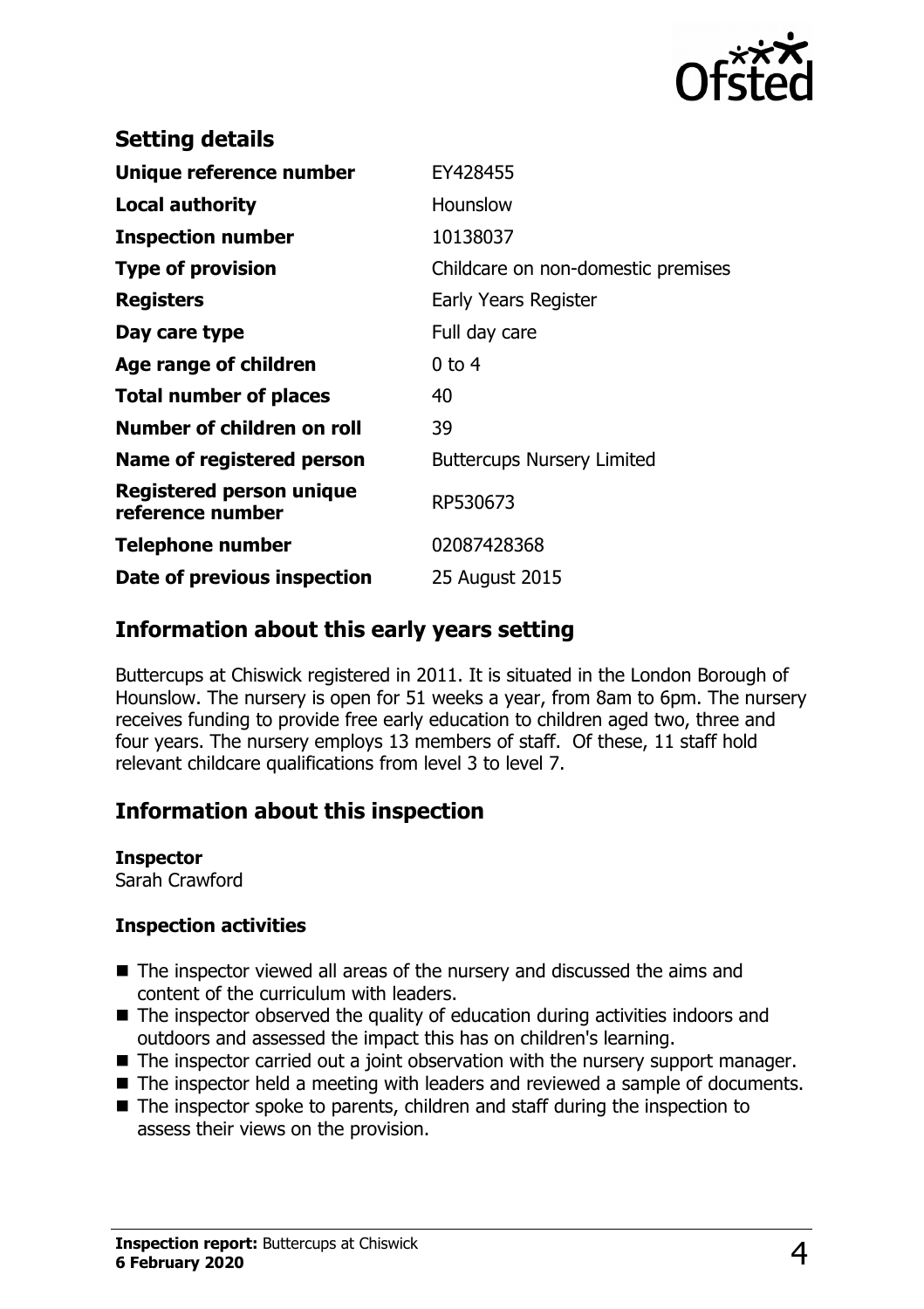

| <b>Setting details</b>                              |                                    |
|-----------------------------------------------------|------------------------------------|
| Unique reference number                             | EY428455                           |
| <b>Local authority</b>                              | Hounslow                           |
| <b>Inspection number</b>                            | 10138037                           |
| <b>Type of provision</b>                            | Childcare on non-domestic premises |
| <b>Registers</b>                                    | Early Years Register               |
| Day care type                                       | Full day care                      |
| Age range of children                               | $0$ to 4                           |
| <b>Total number of places</b>                       | 40                                 |
| Number of children on roll                          | 39                                 |
| Name of registered person                           | <b>Buttercups Nursery Limited</b>  |
| <b>Registered person unique</b><br>reference number | RP530673                           |
| <b>Telephone number</b>                             | 02087428368                        |
| Date of previous inspection                         | 25 August 2015                     |
|                                                     |                                    |

#### **Information about this early years setting**

Buttercups at Chiswick registered in 2011. It is situated in the London Borough of Hounslow. The nursery is open for 51 weeks a year, from 8am to 6pm. The nursery receives funding to provide free early education to children aged two, three and four years. The nursery employs 13 members of staff. Of these, 11 staff hold relevant childcare qualifications from level 3 to level 7.

### **Information about this inspection**

**Inspector** Sarah Crawford

# **Inspection activities**

- $\blacksquare$  The inspector viewed all areas of the nursery and discussed the aims and content of the curriculum with leaders.
- $\blacksquare$  The inspector observed the quality of education during activities indoors and outdoors and assessed the impact this has on children's learning.
- $\blacksquare$  The inspector carried out a joint observation with the nursery support manager.
- $\blacksquare$  The inspector held a meeting with leaders and reviewed a sample of documents.
- $\blacksquare$  The inspector spoke to parents, children and staff during the inspection to assess their views on the provision.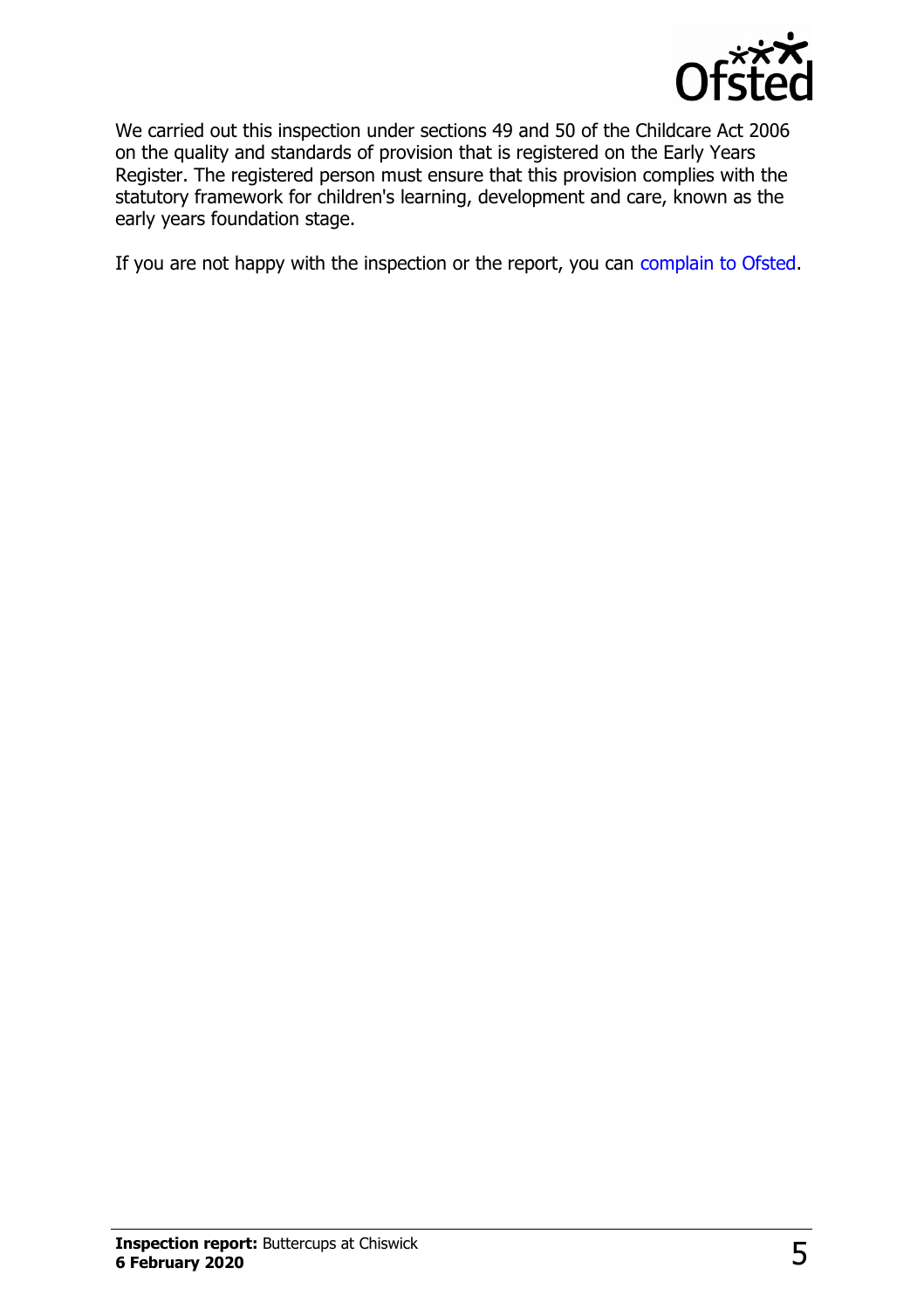

We carried out this inspection under sections 49 and 50 of the Childcare Act 2006 on the quality and standards of provision that is registered on the Early Years Register. The registered person must ensure that this provision complies with the statutory framework for children's learning, development and care, known as the early years foundation stage.

If you are not happy with the inspection or the report, you can [complain to Ofsted.](http://www.gov.uk/complain-ofsted-report)